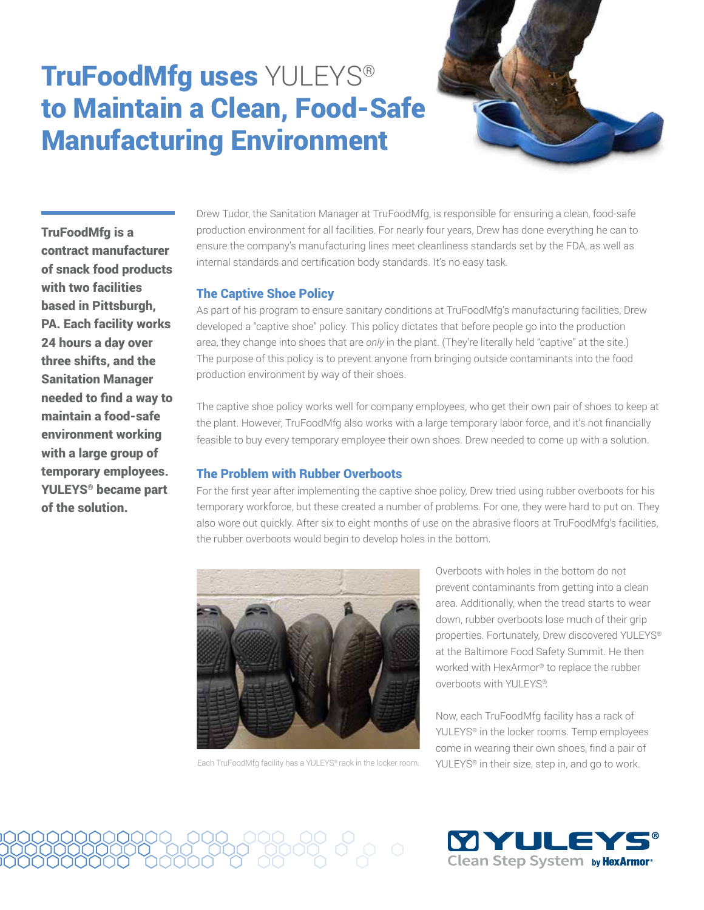# TruFoodMfg uses YULEYS® to Maintain a Clean, Food-Safe Manufacturing Environment



TruFoodMfg is a contract manufacturer of snack food products with two facilities based in Pittsburgh, PA. Each facility works 24 hours a day over three shifts, and the Sanitation Manager needed to find a way to maintain a food-safe environment working with a large group of temporary employees. YULEYS® became part of the solution.

Drew Tudor, the Sanitation Manager at TruFoodMfg, is responsible for ensuring a clean, food-safe production environment for all facilities. For nearly four years, Drew has done everything he can to ensure the company's manufacturing lines meet cleanliness standards set by the FDA, as well as internal standards and certification body standards. It's no easy task.

## The Captive Shoe Policy

As part of his program to ensure sanitary conditions at TruFoodMfg's manufacturing facilities, Drew developed a "captive shoe" policy. This policy dictates that before people go into the production area, they change into shoes that are *only* in the plant. (They're literally held "captive" at the site.) The purpose of this policy is to prevent anyone from bringing outside contaminants into the food production environment by way of their shoes.

The captive shoe policy works well for company employees, who get their own pair of shoes to keep at the plant. However, TruFoodMfg also works with a large temporary labor force, and it's not financially feasible to buy every temporary employee their own shoes. Drew needed to come up with a solution.

### The Problem with Rubber Overboots

For the first year after implementing the captive shoe policy, Drew tried using rubber overboots for his temporary workforce, but these created a number of problems. For one, they were hard to put on. They also wore out quickly. After six to eight months of use on the abrasive floors at TruFoodMfg's facilities, the rubber overboots would begin to develop holes in the bottom.



Each TruFoodMfg facility has a YULEYS® rack in the locker room.

တို့ ၀ိွ၀ ၀

Overboots with holes in the bottom do not prevent contaminants from getting into a clean area. Additionally, when the tread starts to wear down, rubber overboots lose much of their grip properties. Fortunately, Drew discovered YULEYS® at the Baltimore Food Safety Summit. He then worked with HexArmor® to replace the rubber overboots with YULEYS®.

Now, each TruFoodMfg facility has a rack of YULEYS® in the locker rooms. Temp employees come in wearing their own shoes, find a pair of YULEYS® in their size, step in, and go to work.